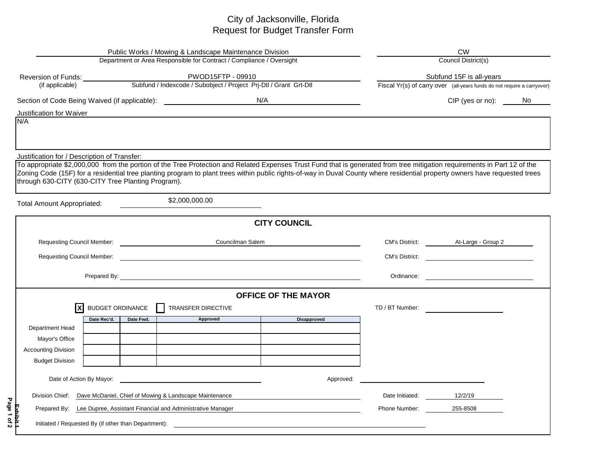## City of Jacksonville, Florida Request for Budget Transfer Form

| Public Works / Mowing & Landscape Maintenance Division<br>Department or Area Responsible for Contract / Compliance / Oversight |                                                                         |           |                                                                                                                                                                             |                                                                                                                                                                                                                                      | <b>CW</b>                |                                                                         |  |  |  |  |
|--------------------------------------------------------------------------------------------------------------------------------|-------------------------------------------------------------------------|-----------|-----------------------------------------------------------------------------------------------------------------------------------------------------------------------------|--------------------------------------------------------------------------------------------------------------------------------------------------------------------------------------------------------------------------------------|--------------------------|-------------------------------------------------------------------------|--|--|--|--|
|                                                                                                                                |                                                                         |           |                                                                                                                                                                             |                                                                                                                                                                                                                                      | Council District(s)      |                                                                         |  |  |  |  |
|                                                                                                                                |                                                                         |           |                                                                                                                                                                             |                                                                                                                                                                                                                                      | Subfund 15F is all-years |                                                                         |  |  |  |  |
|                                                                                                                                |                                                                         |           |                                                                                                                                                                             |                                                                                                                                                                                                                                      |                          | Fiscal Yr(s) of carry over (all-years funds do not require a carryover) |  |  |  |  |
|                                                                                                                                |                                                                         |           |                                                                                                                                                                             |                                                                                                                                                                                                                                      |                          | CIP (yes or no): No                                                     |  |  |  |  |
| <b>Justification for Waiver</b>                                                                                                |                                                                         |           |                                                                                                                                                                             |                                                                                                                                                                                                                                      |                          |                                                                         |  |  |  |  |
| N/A                                                                                                                            |                                                                         |           |                                                                                                                                                                             |                                                                                                                                                                                                                                      |                          |                                                                         |  |  |  |  |
|                                                                                                                                |                                                                         |           |                                                                                                                                                                             |                                                                                                                                                                                                                                      |                          |                                                                         |  |  |  |  |
| Justification for / Description of Transfer:                                                                                   |                                                                         |           | To appropriate \$2,000,000 from the portion of the Tree Protection and Related Expenses Trust Fund that is generated from tree mitigation requirements in Part 12 of the    |                                                                                                                                                                                                                                      |                          |                                                                         |  |  |  |  |
|                                                                                                                                |                                                                         |           | Zoning Code (15F) for a residential tree planting program to plant trees within public rights-of-way in Duval County where residential property owners have requested trees |                                                                                                                                                                                                                                      |                          |                                                                         |  |  |  |  |
| through 630-CITY (630-CITY Tree Planting Program).                                                                             |                                                                         |           |                                                                                                                                                                             |                                                                                                                                                                                                                                      |                          |                                                                         |  |  |  |  |
|                                                                                                                                |                                                                         |           |                                                                                                                                                                             |                                                                                                                                                                                                                                      |                          |                                                                         |  |  |  |  |
| <b>Total Amount Appropriated:</b>                                                                                              |                                                                         |           | \$2,000,000.00                                                                                                                                                              |                                                                                                                                                                                                                                      |                          |                                                                         |  |  |  |  |
|                                                                                                                                |                                                                         |           |                                                                                                                                                                             | <b>CITY COUNCIL</b>                                                                                                                                                                                                                  |                          |                                                                         |  |  |  |  |
|                                                                                                                                |                                                                         |           | Councilman Salem                                                                                                                                                            |                                                                                                                                                                                                                                      |                          | CM's District: At-Large - Group 2                                       |  |  |  |  |
|                                                                                                                                |                                                                         |           |                                                                                                                                                                             |                                                                                                                                                                                                                                      |                          | CM's District:                                                          |  |  |  |  |
|                                                                                                                                |                                                                         |           |                                                                                                                                                                             |                                                                                                                                                                                                                                      | Ordinance:               |                                                                         |  |  |  |  |
|                                                                                                                                |                                                                         |           |                                                                                                                                                                             | <b>OFFICE OF THE MAYOR</b>                                                                                                                                                                                                           |                          |                                                                         |  |  |  |  |
| X                                                                                                                              | <b>BUDGET ORDINANCE</b>                                                 |           | TRANSFER DIRECTIVE                                                                                                                                                          |                                                                                                                                                                                                                                      | TD / BT Number:          |                                                                         |  |  |  |  |
|                                                                                                                                | Date Rec'd.                                                             | Date Fwd. | Approved                                                                                                                                                                    | <b>Disapproved</b>                                                                                                                                                                                                                   |                          |                                                                         |  |  |  |  |
| Department Head                                                                                                                |                                                                         |           |                                                                                                                                                                             |                                                                                                                                                                                                                                      |                          |                                                                         |  |  |  |  |
| Mayor's Office                                                                                                                 |                                                                         |           |                                                                                                                                                                             |                                                                                                                                                                                                                                      |                          |                                                                         |  |  |  |  |
| <b>Accounting Division</b>                                                                                                     |                                                                         |           |                                                                                                                                                                             |                                                                                                                                                                                                                                      |                          |                                                                         |  |  |  |  |
| <b>Budget Division</b>                                                                                                         |                                                                         |           |                                                                                                                                                                             |                                                                                                                                                                                                                                      |                          |                                                                         |  |  |  |  |
| Date of Action By Mayor:                                                                                                       |                                                                         |           | <u> 1989 - Johann Harry Barn, mars and de Branch and de Branch and de Branch and de Branch and de Branch and de B</u>                                                       | Approved:                                                                                                                                                                                                                            |                          |                                                                         |  |  |  |  |
| Division Chief:<br>Dave McDaniel, Chief of Mowing & Landscape Maintenance                                                      |                                                                         |           | Date Initiated:                                                                                                                                                             | 12/2/19                                                                                                                                                                                                                              |                          |                                                                         |  |  |  |  |
|                                                                                                                                | Prepared By: Lee Dupree, Assistant Financial and Administrative Manager |           |                                                                                                                                                                             |                                                                                                                                                                                                                                      |                          | 255-8508                                                                |  |  |  |  |
| Initiated / Requested By (if other than Department):                                                                           |                                                                         |           |                                                                                                                                                                             | <u>and the state of the state of the state of the state of the state of the state of the state of the state of the state of the state of the state of the state of the state of the state of the state of the state of the state</u> |                          |                                                                         |  |  |  |  |